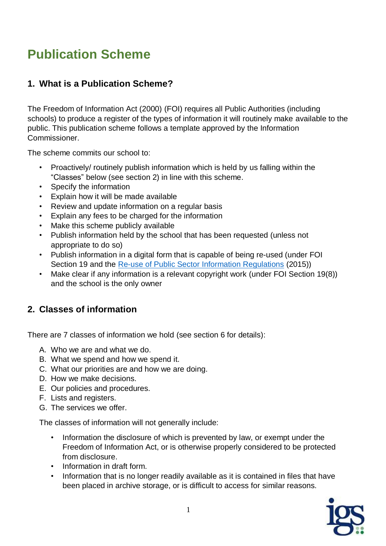# **Publication Scheme**

#### **1. What is a Publication Scheme?**

The Freedom of Information Act (2000) (FOI) requires all Public Authorities (including schools) to produce a register of the types of information it will routinely make available to the public. This publication scheme follows a template approved by the Information Commissioner.

The scheme commits our school to:

- Proactively/ routinely publish information which is held by us falling within the "Classes" below (see section 2) in line with this scheme.
- Specify the information
- Explain how it will be made available
- Review and update information on a regular basis
- Explain any fees to be charged for the information
- Make this scheme publicly available
- Publish information held by the school that has been requested (unless not appropriate to do so)
- Publish information in a digital form that is capable of being re-used (under FOI Section 19 and the [Re-use of Public Sector Information Regulations](http://www.legislation.gov.uk/uksi/2015/1415/contents/made) (2015))
- Make clear if any information is a relevant copyright work (under FOI Section 19(8)) and the school is the only owner

#### **2. Classes of information**

There are 7 classes of information we hold (see section 6 for details):

- A. Who we are and what we do.
- B. What we spend and how we spend it.
- C. What our priorities are and how we are doing.
- D. How we make decisions.
- E. Our policies and procedures.
- F. Lists and registers.
- G. The services we offer.

The classes of information will not generally include:

- Information the disclosure of which is prevented by law, or exempt under the Freedom of Information Act, or is otherwise properly considered to be protected from disclosure.
- Information in draft form.
- Information that is no longer readily available as it is contained in files that have been placed in archive storage, or is difficult to access for similar reasons.

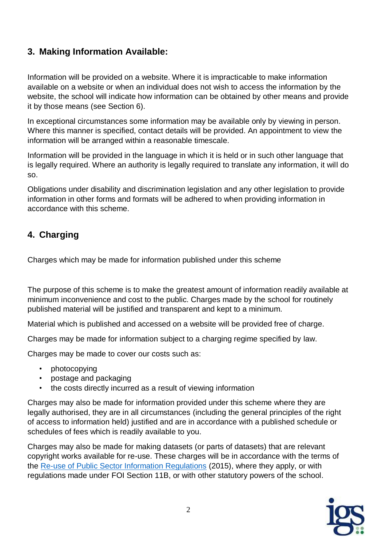#### **3. Making Information Available:**

Information will be provided on a website. Where it is impracticable to make information available on a website or when an individual does not wish to access the information by the website, the school will indicate how information can be obtained by other means and provide it by those means (see Section 6).

In exceptional circumstances some information may be available only by viewing in person. Where this manner is specified, contact details will be provided. An appointment to view the information will be arranged within a reasonable timescale.

Information will be provided in the language in which it is held or in such other language that is legally required. Where an authority is legally required to translate any information, it will do so.

Obligations under disability and discrimination legislation and any other legislation to provide information in other forms and formats will be adhered to when providing information in accordance with this scheme.

### **4. Charging**

Charges which may be made for information published under this scheme

The purpose of this scheme is to make the greatest amount of information readily available at minimum inconvenience and cost to the public. Charges made by the school for routinely published material will be justified and transparent and kept to a minimum.

Material which is published and accessed on a website will be provided free of charge.

Charges may be made for information subject to a charging regime specified by law.

Charges may be made to cover our costs such as:

- photocopying
- postage and packaging
- the costs directly incurred as a result of viewing information

Charges may also be made for information provided under this scheme where they are legally authorised, they are in all circumstances (including the general principles of the right of access to information held) justified and are in accordance with a published schedule or schedules of fees which is readily available to you.

Charges may also be made for making datasets (or parts of datasets) that are relevant copyright works available for re-use. These charges will be in accordance with the terms of the [Re-use of Public Sector Information Regulations](http://www.legislation.gov.uk/uksi/2015/1415/contents/made) (2015), where they apply, or with regulations made under FOI Section 11B, or with other statutory powers of the school.

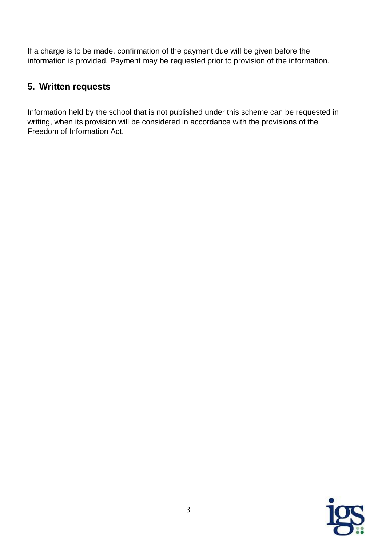If a charge is to be made, confirmation of the payment due will be given before the information is provided. Payment may be requested prior to provision of the information.

#### **5. Written requests**

Information held by the school that is not published under this scheme can be requested in writing, when its provision will be considered in accordance with the provisions of the Freedom of Information Act.

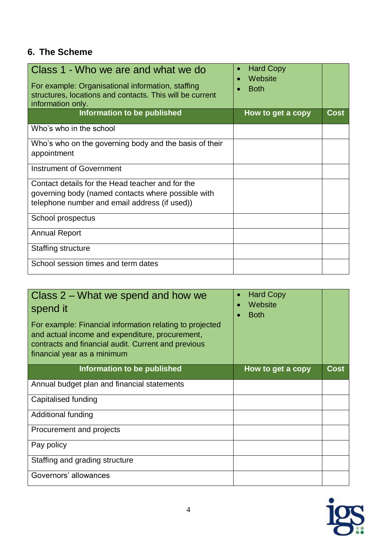## **6. The Scheme**

| Class 1 - Who we are and what we do<br>For example: Organisational information, staffing<br>structures, locations and contacts. This will be current<br>information only. | <b>Hard Copy</b><br>Website<br><b>Both</b> |             |
|---------------------------------------------------------------------------------------------------------------------------------------------------------------------------|--------------------------------------------|-------------|
| Information to be published                                                                                                                                               | How to get a copy                          | <b>Cost</b> |
| Who's who in the school                                                                                                                                                   |                                            |             |
| Who's who on the governing body and the basis of their<br>appointment                                                                                                     |                                            |             |
| Instrument of Government                                                                                                                                                  |                                            |             |
| Contact details for the Head teacher and for the<br>governing body (named contacts where possible with<br>telephone number and email address (if used))                   |                                            |             |
| School prospectus                                                                                                                                                         |                                            |             |
| <b>Annual Report</b>                                                                                                                                                      |                                            |             |
| Staffing structure                                                                                                                                                        |                                            |             |
| School session times and term dates                                                                                                                                       |                                            |             |

| Class 2 – What we spend and how we<br>spend it<br>For example: Financial information relating to projected<br>and actual income and expenditure, procurement,<br>contracts and financial audit. Current and previous<br>financial year as a minimum | <b>Hard Copy</b><br>$\bullet$<br>Website<br><b>Both</b> |      |
|-----------------------------------------------------------------------------------------------------------------------------------------------------------------------------------------------------------------------------------------------------|---------------------------------------------------------|------|
| Information to be published                                                                                                                                                                                                                         | How to get a copy                                       | Cost |
| Annual budget plan and financial statements                                                                                                                                                                                                         |                                                         |      |
| Capitalised funding                                                                                                                                                                                                                                 |                                                         |      |
| Additional funding                                                                                                                                                                                                                                  |                                                         |      |
| Procurement and projects                                                                                                                                                                                                                            |                                                         |      |
| Pay policy                                                                                                                                                                                                                                          |                                                         |      |
| Staffing and grading structure                                                                                                                                                                                                                      |                                                         |      |
| Governors' allowances                                                                                                                                                                                                                               |                                                         |      |

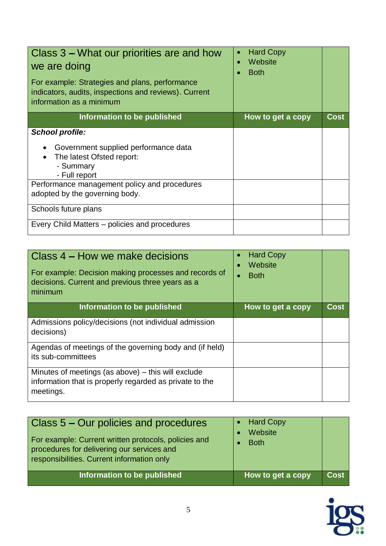| Class 3 – What our priorities are and how<br>we are doing<br>For example: Strategies and plans, performance<br>indicators, audits, inspections and reviews). Current<br>information as a minimum | <b>Hard Copy</b><br>$\bullet$<br>Website<br><b>Both</b> |             |
|--------------------------------------------------------------------------------------------------------------------------------------------------------------------------------------------------|---------------------------------------------------------|-------------|
| Information to be published                                                                                                                                                                      | How to get a copy                                       | <b>Cost</b> |
| <b>School profile:</b><br>Government supplied performance data<br>The latest Ofsted report:<br>- Summary<br>- Full report                                                                        |                                                         |             |
| Performance management policy and procedures<br>adopted by the governing body.                                                                                                                   |                                                         |             |
| Schools future plans<br>Every Child Matters – policies and procedures                                                                                                                            |                                                         |             |
|                                                                                                                                                                                                  |                                                         |             |

| Class 4 – How we make decisions<br>For example: Decision making processes and records of<br>decisions. Current and previous three years as a<br>minimum | <b>Hard Copy</b><br>Website<br><b>Both</b> |             |
|---------------------------------------------------------------------------------------------------------------------------------------------------------|--------------------------------------------|-------------|
| Information to be published                                                                                                                             | How to get a copy                          | <b>Cost</b> |
| Admissions policy/decisions (not individual admission<br>decisions)                                                                                     |                                            |             |
| Agendas of meetings of the governing body and (if held)<br>its sub-committees                                                                           |                                            |             |
| Minutes of meetings (as above) $-$ this will exclude<br>information that is properly regarded as private to the<br>meetings.                            |                                            |             |

| Class 5 – Our policies and procedures<br>For example: Current written protocols, policies and<br>procedures for delivering our services and<br>responsibilities. Current information only | • Hard Copy<br>Website<br><b>Both</b> |                   |
|-------------------------------------------------------------------------------------------------------------------------------------------------------------------------------------------|---------------------------------------|-------------------|
| Information to be published                                                                                                                                                               | How to get a copy                     | Cost <sup>1</sup> |

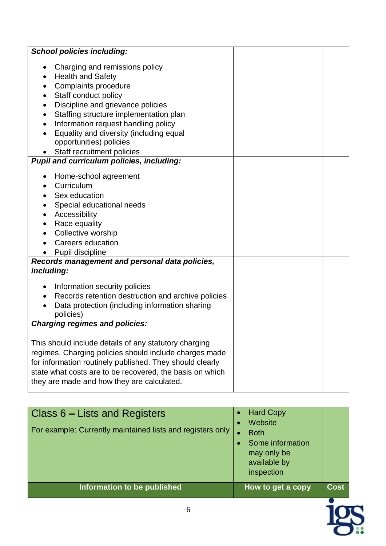| <b>School policies including:</b>                                                                                                                                                                                                                                                                                                    |  |
|--------------------------------------------------------------------------------------------------------------------------------------------------------------------------------------------------------------------------------------------------------------------------------------------------------------------------------------|--|
| Charging and remissions policy<br><b>Health and Safety</b><br>Complaints procedure<br>Staff conduct policy<br>Discipline and grievance policies<br>Staffing structure implementation plan<br>Information request handling policy<br>Equality and diversity (including equal<br>opportunities) policies<br>Staff recruitment policies |  |
| <b>Pupil and curriculum policies, including:</b>                                                                                                                                                                                                                                                                                     |  |
| Home-school agreement<br>Curriculum<br>Sex education<br>Special educational needs<br>Accessibility<br>Race equality<br>Collective worship<br><b>Careers education</b><br>Pupil discipline                                                                                                                                            |  |
| Records management and personal data policies,                                                                                                                                                                                                                                                                                       |  |
| including:<br>Information security policies<br>Records retention destruction and archive policies<br>Data protection (including information sharing<br>policies)                                                                                                                                                                     |  |
| <b>Charging regimes and policies:</b>                                                                                                                                                                                                                                                                                                |  |
| This should include details of any statutory charging<br>regimes. Charging policies should include charges made<br>for information routinely published. They should clearly<br>state what costs are to be recovered, the basis on which<br>they are made and how they are calculated.                                                |  |

| Information to be published                                                                 | How to get a copy                                                                       | <b>Cost</b> |
|---------------------------------------------------------------------------------------------|-----------------------------------------------------------------------------------------|-------------|
| Class 6 – Lists and Registers<br>For example: Currently maintained lists and registers only | Website<br><b>Both</b><br>Some information<br>may only be<br>available by<br>inspection |             |
|                                                                                             | <b>Hard Copy</b>                                                                        |             |

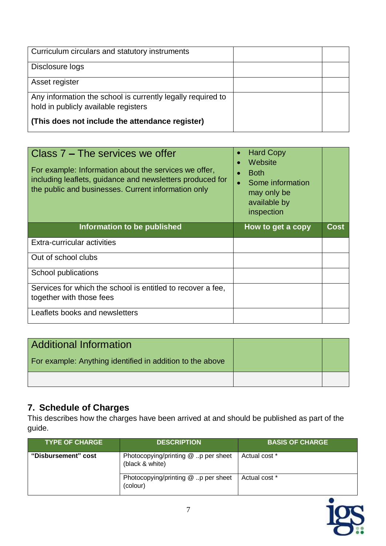| Curriculum circulars and statutory instruments              |  |
|-------------------------------------------------------------|--|
| Disclosure logs                                             |  |
| Asset register                                              |  |
| Any information the school is currently legally required to |  |
| hold in publicly available registers                        |  |
| (This does not include the attendance register)             |  |

| Class 7 – The services we offer<br>For example: Information about the services we offer,<br>including leaflets, guidance and newsletters produced for<br>the public and businesses. Current information only | <b>Hard Copy</b><br>Website<br><b>Both</b><br>Some information<br>may only be<br>available by<br>inspection |             |
|--------------------------------------------------------------------------------------------------------------------------------------------------------------------------------------------------------------|-------------------------------------------------------------------------------------------------------------|-------------|
| Information to be published                                                                                                                                                                                  | How to get a copy                                                                                           | <b>Cost</b> |
| Extra-curricular activities                                                                                                                                                                                  |                                                                                                             |             |
| Out of school clubs                                                                                                                                                                                          |                                                                                                             |             |
| School publications                                                                                                                                                                                          |                                                                                                             |             |
| Services for which the school is entitled to recover a fee,<br>together with those fees                                                                                                                      |                                                                                                             |             |
| Leaflets books and newsletters                                                                                                                                                                               |                                                                                                             |             |

| Additional Information                                    |  |
|-----------------------------------------------------------|--|
| For example: Anything identified in addition to the above |  |
|                                                           |  |

#### **7. Schedule of Charges**

This describes how the charges have been arrived at and should be published as part of the guide.

| <b>TYPE OF CHARGE</b> | <b>DESCRIPTION</b>                                        | <b>BASIS OF CHARGE</b> |
|-----------------------|-----------------------------------------------------------|------------------------|
| "Disbursement" cost   | Photocopying/printing $@.$ p per sheet<br>(black & white) | Actual cost *          |
|                       | Photocopying/printing $@.$ p per sheet<br>(colour)        | Actual cost *          |